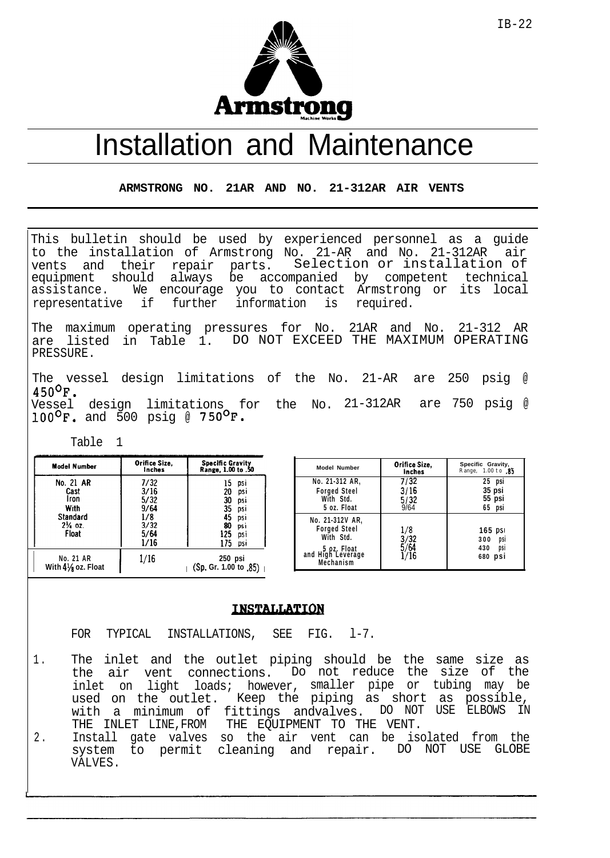

## Installation and Maintenance

**ARMSTRONG NO. 21AR AND NO. 21-312AR AIR VENTS**

This bulletin should be used by experienced personnel as a guide to the installation of Armstrong No. 21-AR and No. 21-312AR air vents and their repair parts. Selection or installation of equipment should always be accompanied by competent technical assistance. We encourage you to contact Armstrong or its local representative if further information is required.

The maximum operating pressures for No. 21AR and No. 21-312 AR are listed in Table 1. DO NOT EXCEED THE MAXIMUM OPERATING PRESSURE.

The vessel design limitations of the No. 21-AR are 250 psig @  $450^{\circ}$ F. Vessel design limitations for the No. 21-312AR are 750 psig @  $100^{\sf o}{\sf F.}$  and 500 psig @  $750^{\sf o}{\sf F.}$ 

Table 1

| Model Number                                                                 | Orifice Size.<br>inches                                     | <b>Specific Gravity</b><br>Range, 1,00 to .50                                                                 |
|------------------------------------------------------------------------------|-------------------------------------------------------------|---------------------------------------------------------------------------------------------------------------|
| No. 21 AR<br>Cast<br>Iron<br>With<br>Standard<br>$2\frac{1}{4}$ oz.<br>Float | 7/32<br>3/16<br>5/32<br>9/64<br>1/8<br>3/32<br>5/64<br>1/16 | 15<br>psi<br>20<br>psi<br>30<br>psi<br>35<br>DSİ<br>45<br>psi<br>80<br>psi<br>125<br><b>DSI</b><br>175<br>DSI |
| No. 21 AR<br>With $4\frac{1}{8}$ oz. Float                                   | 1/16                                                        | 250 psi<br>(Sp. Gr. 1.00 to .85)                                                                              |

| <b>Model Number</b>                                                                                  | Orifice Size,<br>inches      | Specific Gravity,<br>Range, 1.00 to 85              |
|------------------------------------------------------------------------------------------------------|------------------------------|-----------------------------------------------------|
| No. 21-312 AR,<br><b>Forged Steel</b><br>With Std.<br>5 oz. Float                                    | 7/32<br>3/16<br>5/32<br>9/64 | 25 psi<br>35 psi<br>55 psi<br>65 psi                |
| No. 21-312V AR,<br><b>Forged Steel</b><br>With Std.<br>5 oz. Float<br>and High Leverage<br>Mechanism | 1/8<br>3/32<br>5/64          | $165$ psi<br>300<br>psi<br>430<br>psi<br>680<br>psi |

## **INSTALLATION**

FOR TYPICAL INSTALLATIONS, SEE FIG. 1-7.

- 1 . The inlet and the outlet piping should be the same size as the air vent connections. Do not reduce the size of the inlet on light loads; however, smaller pipe or tubing may be used on the outlet. Keep the piping as short as possible, with a minimum of fittings andvalves. DO NOT USE ELBOWS IN THE INLET LINE,FROM THE EQUIPMENT TO THE VENT.
- 2 . Install gate valves so the air vent can be isolated from the system to permit cleaning and repair. DO NOT USE GLOBE VALVES.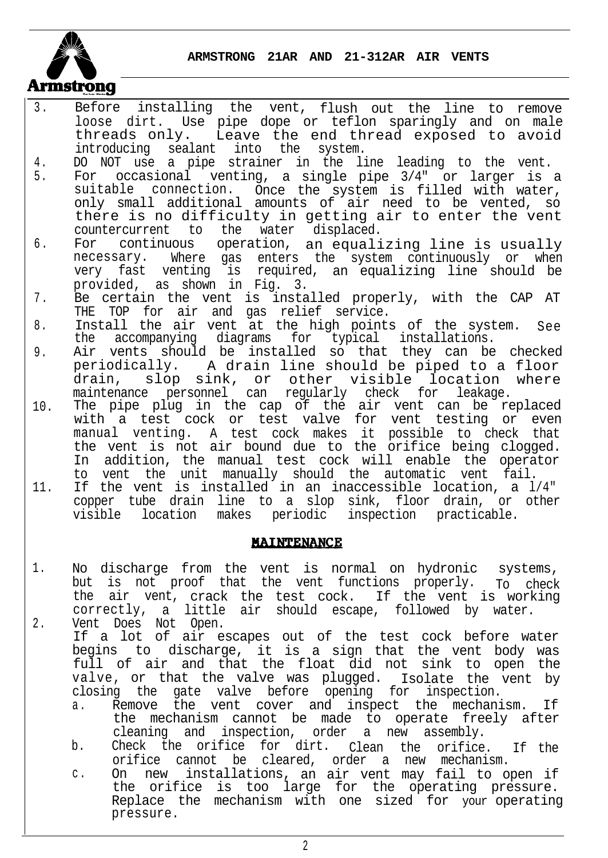**ARMSTRONG 21AR AND 21-312AR AIR VENTS**



- 3 . Before installing the vent, flush out the line to remove loose dirt. Use pipe dope or teflon sparingly and on male threads only. Leave the end thread exposed to avoid introducing sealant into the system.
- 4. DO NOT use a pipe strainer in the line leading to the vent.
- 5. For occasional venting, a single pipe 3/4" or larger is a suitable connection. Once the system is filled with water, only small additional amounts of air need to be vented, so there is no difficulty in getting air to enter the vent countercurrent to the water displaced.
- 6 . For continuous operation, an equalizing line is usually necessary. Where gas enters the system continuously or when very fast venting is required, an equalizing line should be provided, as shown in Fig. 3.
- 7 . Be certain the vent is installed properly, with the CAP AT THE TOP for air and gas relief service.
- 8. Install the air vent at the high points of the system. See the accompanying diagrams for typical installations.
- 9. Air vents should be installed so that they can be checked periodically. A drain line should be piped to a floor<br>drain, slop sink, or other visible location where slop sink, or other visible location where maintenance personnel can regularly check for leakage.
- 10. The pipe plug in the cap of the air vent can be replaced with a test cock or test valve for vent testing or even manual venting. A test cock makes it possible to check that the vent is not air bound due to the orifice being clogged. In addition, the manual test cock will enable the operator to vent the unit manually should the automatic vent fail.
- 11. If the vent is installed in an inaccessible location, a l/4" copper tube drain line to a slop sink, floor drain, or other visible location makes periodic inspection practicable.

## **MAINTENANCE**

- 1. 2. No discharge from the vent is normal on hydronic systems, but is not proof that the vent functions properly. To check the air vent, crack the test cock. If the vent is working correctly, a little air should escape, followed by water. Vent Does Not Open.
	- If a lot of air escapes out of the test cock before water begins to discharge, it is a sign that the vent body was full of air and that the float did not sink to open the valve, or that the valve was plugged. Isolate the vent by closing the gate valve before opening for inspection.
		- a. Remove the vent cover and inspect the mechanism. If the mechanism cannot be made to operate freely after cleaning and inspection, order a new assembly.
		- b. Check the orifice for dirt. Clean the orifice. If the orifice cannot be cleared, order a new mechanism.
		- c . On new installations, an air vent may fail to open if the orifice is too large for the operating pressure. Replace the mechanism with one sized for your operating pressure.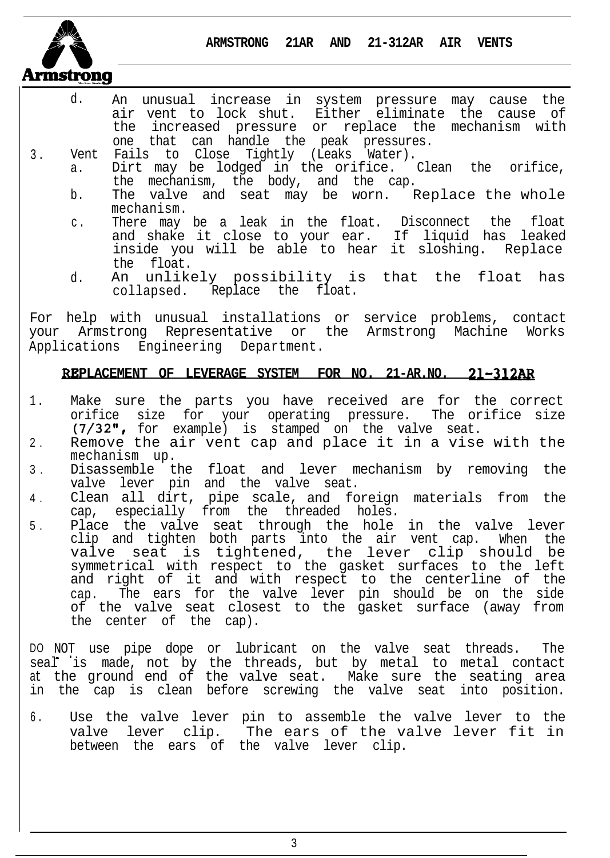**ARMSTRONG 21AR AND 21-312AR AIR VENTS**



- d. An unusual increase in system pressure may cause the air vent to lock shut. Either eliminate the cause of the increased pressure or replace the mechanism with one that can handle the peak pressures.
- 3 . Vent Fails to Close Tightly (Leaks Water).
	- a. Dirt may be lodged in the orifice. Clean the orifice, the mechanism, the body, and the cap.
		- b. The valve and seat may be worn. Replace the whole mechanism.
		- c. There may be a leak in the float. Disconnect the float and shake it close to your ear. If liquid has leaked inside you will be able to hear it sloshing. Replace the float.
		- d. An unlikely possibility is that the float has collapsed. Replace the float.

For help with unusual installations or service problems, contact your Armstrong Representative or the Armstrong Machine Works Applications Engineering Department.

## **PLACEMENT OF LEVERAGE SYSTEM FOR NO. 21-AR.NO. 21-3U**

- 1 . Make sure the parts you have received are for the correct orifice size for your operating pressure. The orifice size (7/32", for example) is stamped on the valve seat.
- 2 . Remove the air vent cap and place it in a vise with the mechanism up.
- 3 . Disassemble the float and lever mechanism by removing the valve lever pin and the valve seat.
- 4 . Clean all dirt, pipe scale, and foreign materials from the cap, especially from the threaded holes.
- 5 . Place the valve seat through the hole in the valve lever clip and tighten both parts into the air vent cap. When the valve seat is tightened, the lever clip should be symmetrical with respect to the gasket surfaces to the left and right of it and with respect to the centerline of the cap. The ears for the valve lever pin should be on the side of the valve seat closest to the gasket surface (away from the center of the cap).

DO NOT use pipe dope or lubricant on the valve seat threads. The DO NOT use pipe dope or lubricant on the valve seat threads. The<br>seal is made, not by the threads, but by metal to metal contact at the ground end of the valve seat. Make sure the seating area in the cap is clean before screwing the valve seat into position.

6 . Use the valve lever pin to assemble the valve lever to the valve lever clip. The ears of the valve lever fit in between the ears of the valve lever clip.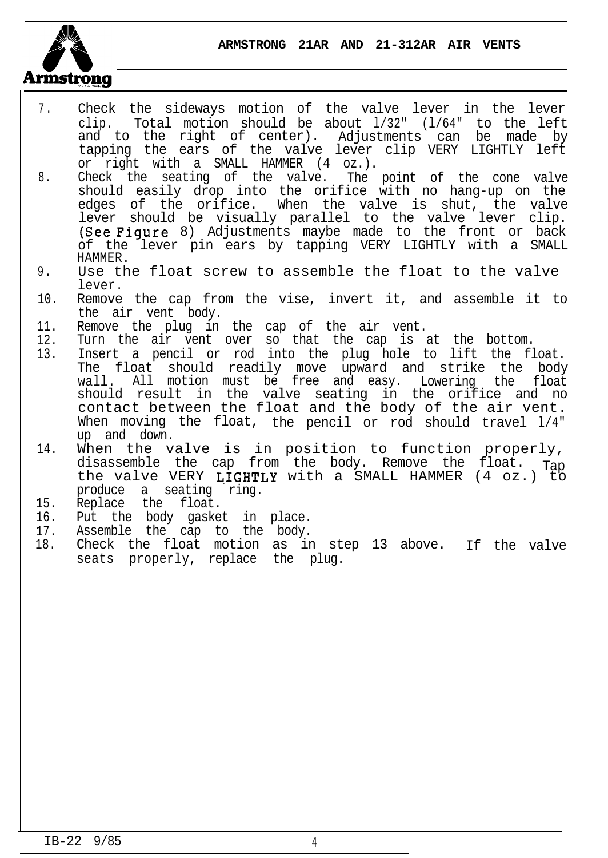**ARMSTRONG 21AR AND 21-312AR AIR VENTS**



- 7 . Check the sideways motion of the valve lever in the lever clip. Total motion should be about l/32" (l/64" to the left and to the right of center). Adjustments can be made by tapping the ears of the valve lever clip VERY LIGHTLY left or right with a SMALL HAMMER (4 oz.).
- 8. Check the seating of the valve. The point of the cone valve should easily drop into the orifice with no hang-up on the edges of the orifice. When the valve is shut, the valve lever should be visually parallel to the valve lever clip. (See Figure 8) Adjustments maybe made to the front or back of the lever pin ears by tapping VERY LIGHTLY with a SMALL HAMMER.
- 9 . Use the float screw to assemble the float to the valve lever.
- 10. Remove the cap from the vise, invert it, and assemble it to the air vent body.
- 11. Remove the plug in the cap of the air vent.
- 12. Turn the air vent over so that the cap is at the bottom.
- 13. Insert a pencil or rod into the plug hole to lift the float. The float should readily move upward and strike the body wall. All motion must be free and easy. Lowering the float should result in the valve seating in the orifice and no contact between the float and the body of the air vent. When moving the float, the pencil or rod should travel 1/4" up and down.
- 14. When the valve is in position to function properly, disassemble the cap from the body. Remove the float. Tap the valve VERY LIGHTLY with a SMALL HAMMER (4 oz.) to produce a seating ring.
- 15. Replace the float.
- 16. Put the body gasket in place.
- 17. Assemble the cap to the body.
- 18. Check the float motion as in step 13 above. If the valve seats properly, replace the plug.